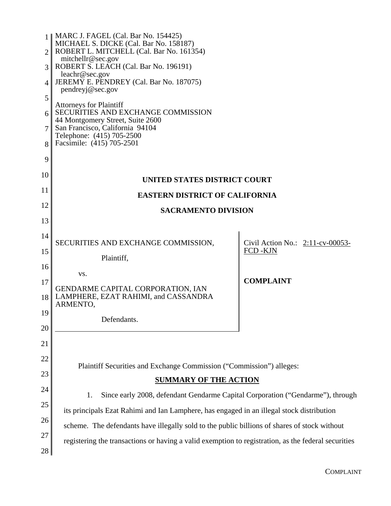|                | 1    MARC J. FAGEL (Cal. Bar No. 154425)<br>MICHAEL S. DICKE (Cal. Bar No. 158187)                                                                                                                    |                                     |  |  |
|----------------|-------------------------------------------------------------------------------------------------------------------------------------------------------------------------------------------------------|-------------------------------------|--|--|
| $\overline{2}$ | ROBERT L. MITCHELL (Cal. Bar No. 161354)<br>mitchellr@sec.gov                                                                                                                                         |                                     |  |  |
| 3              | ROBERT S. LEACH (Cal. Bar No. 196191)                                                                                                                                                                 |                                     |  |  |
| 4              | leachr@sec.gov<br>JEREMY E. PENDREY (Cal. Bar No. 187075)                                                                                                                                             |                                     |  |  |
| 5              | pendreyj@sec.gov                                                                                                                                                                                      |                                     |  |  |
| 6              | <b>Attorneys for Plaintiff</b><br>SECURITIES AND EXCHANGE COMMISSION<br>44 Montgomery Street, Suite 2600<br>San Francisco, California 94104<br>Telephone: (415) 705-2500<br>Facsimile: (415) 705-2501 |                                     |  |  |
| 7              |                                                                                                                                                                                                       |                                     |  |  |
| 8              |                                                                                                                                                                                                       |                                     |  |  |
|                |                                                                                                                                                                                                       |                                     |  |  |
| 9              |                                                                                                                                                                                                       |                                     |  |  |
| 10             | <b>UNITED STATES DISTRICT COURT</b>                                                                                                                                                                   |                                     |  |  |
| 11             | <b>EASTERN DISTRICT OF CALIFORNIA</b>                                                                                                                                                                 |                                     |  |  |
| 12             | <b>SACRAMENTO DIVISION</b>                                                                                                                                                                            |                                     |  |  |
| 13             |                                                                                                                                                                                                       |                                     |  |  |
| 14             | SECURITIES AND EXCHANGE COMMISSION,                                                                                                                                                                   | Civil Action No.: $2:11$ -cv-00053- |  |  |
| 15             | Plaintiff,                                                                                                                                                                                            | FCD -KJN                            |  |  |
| 16             |                                                                                                                                                                                                       |                                     |  |  |
| 17             | VS.                                                                                                                                                                                                   | <b>COMPLAINT</b>                    |  |  |
| 18             | GENDARME CAPITAL CORPORATION, IAN<br>LAMPHERE, EZAT RAHIMI, and CASSANDRA                                                                                                                             |                                     |  |  |
| 19             | ARMENTO,                                                                                                                                                                                              |                                     |  |  |
| 20             | Defendants.                                                                                                                                                                                           |                                     |  |  |
| 21             |                                                                                                                                                                                                       |                                     |  |  |
|                |                                                                                                                                                                                                       |                                     |  |  |
| 22             | Plaintiff Securities and Exchange Commission ("Commission") alleges:                                                                                                                                  |                                     |  |  |
| 23             | <b>SUMMARY OF THE ACTION</b>                                                                                                                                                                          |                                     |  |  |
| 24             | Since early 2008, defendant Gendarme Capital Corporation ("Gendarme"), through<br>1.                                                                                                                  |                                     |  |  |
| 25             | its principals Ezat Rahimi and Ian Lamphere, has engaged in an illegal stock distribution                                                                                                             |                                     |  |  |
| 26             | scheme. The defendants have illegally sold to the public billions of shares of stock without                                                                                                          |                                     |  |  |
| 27             | registering the transactions or having a valid exemption to registration, as the federal securities                                                                                                   |                                     |  |  |
| 28             |                                                                                                                                                                                                       |                                     |  |  |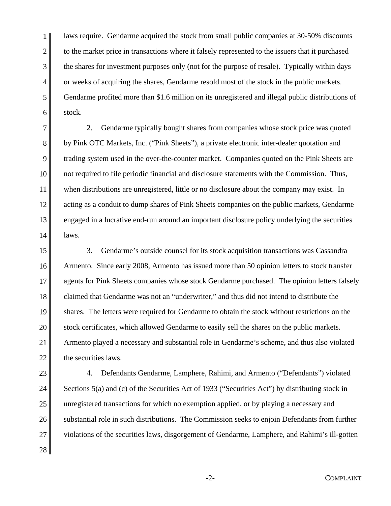1 2 3 4 5 6 laws require. Gendarme acquired the stock from small public companies at 30-50% discounts to the market price in transactions where it falsely represented to the issuers that it purchased the shares for investment purposes only (not for the purpose of resale). Typically within days or weeks of acquiring the shares, Gendarme resold most of the stock in the public markets. Gendarme profited more than \$1.6 million on its unregistered and illegal public distributions of stock.

7 8 9 10 11 12 13 14 2. Gendarme typically bought shares from companies whose stock price was quoted by Pink OTC Markets, Inc. ("Pink Sheets"), a private electronic inter-dealer quotation and trading system used in the over-the-counter market. Companies quoted on the Pink Sheets are not required to file periodic financial and disclosure statements with the Commission. Thus, when distributions are unregistered, little or no disclosure about the company may exist. In acting as a conduit to dump shares of Pink Sheets companies on the public markets, Gendarme engaged in a lucrative end-run around an important disclosure policy underlying the securities laws.

15 16 17 18 19 20 21 22 3. Gendarme's outside counsel for its stock acquisition transactions was Cassandra Armento. Since early 2008, Armento has issued more than 50 opinion letters to stock transfer agents for Pink Sheets companies whose stock Gendarme purchased. The opinion letters falsely claimed that Gendarme was not an "underwriter," and thus did not intend to distribute the shares. The letters were required for Gendarme to obtain the stock without restrictions on the stock certificates, which allowed Gendarme to easily sell the shares on the public markets. Armento played a necessary and substantial role in Gendarme's scheme, and thus also violated the securities laws.

23 24 25 26 27 4. Defendants Gendarme, Lamphere, Rahimi, and Armento ("Defendants") violated Sections 5(a) and (c) of the Securities Act of 1933 ("Securities Act") by distributing stock in unregistered transactions for which no exemption applied, or by playing a necessary and substantial role in such distributions. The Commission seeks to enjoin Defendants from further violations of the securities laws, disgorgement of Gendarme, Lamphere, and Rahimi's ill-gotten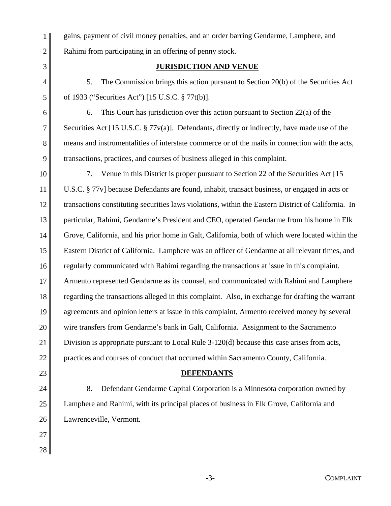gains, payment of civil money penalties, and an order barring Gendarme, Lamphere, and Rahimi from participating in an offering of penny stock.

# **JURISDICTION AND VENUE**

5. The Commission brings this action pursuant to Section 20(b) of the Securities Act of 1933 ("Securities Act") [15 U.S.C. § 77t(b)].

6. This Court has jurisdiction over this action pursuant to Section 22(a) of the Securities Act [15 U.S.C. § 77v(a)]. Defendants, directly or indirectly, have made use of the means and instrumentalities of interstate commerce or of the mails in connection with the acts, transactions, practices, and courses of business alleged in this complaint.

7. Venue in this District is proper pursuant to Section 22 of the Securities Act [15 U.S.C. § 77v] because Defendants are found, inhabit, transact business, or engaged in acts or transactions constituting securities laws violations, within the Eastern District of California. In particular, Rahimi, Gendarme's President and CEO, operated Gendarme from his home in Elk Grove, California, and his prior home in Galt, California, both of which were located within the Eastern District of California. Lamphere was an officer of Gendarme at all relevant times, and regularly communicated with Rahimi regarding the transactions at issue in this complaint. Armento represented Gendarme as its counsel, and communicated with Rahimi and Lamphere regarding the transactions alleged in this complaint. Also, in exchange for drafting the warrant agreements and opinion letters at issue in this complaint, Armento received money by several wire transfers from Gendarme's bank in Galt, California. Assignment to the Sacramento Division is appropriate pursuant to Local Rule 3-120(d) because this case arises from acts, practices and courses of conduct that occurred within Sacramento County, California.

**DEFENDANTS** 

8. Defendant Gendarme Capital Corporation is a Minnesota corporation owned by Lamphere and Rahimi, with its principal places of business in Elk Grove, California and Lawrenceville, Vermont.

28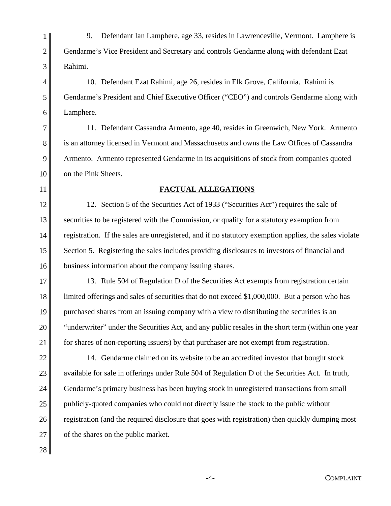9. Defendant Ian Lamphere, age 33, resides in Lawrenceville, Vermont. Lamphere is Gendarme's Vice President and Secretary and controls Gendarme along with defendant Ezat Rahimi.

10. Defendant Ezat Rahimi, age 26, resides in Elk Grove, California. Rahimi is Gendarme's President and Chief Executive Officer ("CEO") and controls Gendarme along with Lamphere.

11. Defendant Cassandra Armento, age 40, resides in Greenwich, New York. Armento is an attorney licensed in Vermont and Massachusetts and owns the Law Offices of Cassandra Armento. Armento represented Gendarme in its acquisitions of stock from companies quoted on the Pink Sheets.

## **FACTUAL ALLEGATIONS**

12. Section 5 of the Securities Act of 1933 ("Securities Act") requires the sale of securities to be registered with the Commission, or qualify for a statutory exemption from registration. If the sales are unregistered, and if no statutory exemption applies, the sales violate Section 5. Registering the sales includes providing disclosures to investors of financial and business information about the company issuing shares.

13. Rule 504 of Regulation D of the Securities Act exempts from registration certain limited offerings and sales of securities that do not exceed \$1,000,000. But a person who has purchased shares from an issuing company with a view to distributing the securities is an "underwriter" under the Securities Act, and any public resales in the short term (within one year for shares of non-reporting issuers) by that purchaser are not exempt from registration.

22 23 24 25 26 27 14. Gendarme claimed on its website to be an accredited investor that bought stock available for sale in offerings under Rule 504 of Regulation D of the Securities Act. In truth, Gendarme's primary business has been buying stock in unregistered transactions from small publicly-quoted companies who could not directly issue the stock to the public without registration (and the required disclosure that goes with registration) then quickly dumping most of the shares on the public market.

28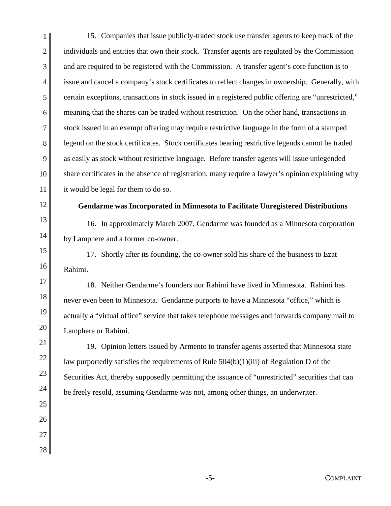1 2 3 4 5 6 7 8 9 10 11 15. Companies that issue publicly-traded stock use transfer agents to keep track of the individuals and entities that own their stock. Transfer agents are regulated by the Commission and are required to be registered with the Commission. A transfer agent's core function is to issue and cancel a company's stock certificates to reflect changes in ownership. Generally, with certain exceptions, transactions in stock issued in a registered public offering are "unrestricted," meaning that the shares can be traded without restriction. On the other hand, transactions in stock issued in an exempt offering may require restrictive language in the form of a stamped legend on the stock certificates. Stock certificates bearing restrictive legends cannot be traded as easily as stock without restrictive language. Before transfer agents will issue unlegended share certificates in the absence of registration, many require a lawyer's opinion explaining why it would be legal for them to do so.

12 13

14

21

22

23

24

25

26

27

28

## **Gendarme was Incorporated in Minnesota to Facilitate Unregistered Distributions**

16. In approximately March 2007, Gendarme was founded as a Minnesota corporation by Lamphere and a former co-owner.

15 16 17. Shortly after its founding, the co-owner sold his share of the business to Ezat Rahimi.

17 18 19 20 18. Neither Gendarme's founders nor Rahimi have lived in Minnesota. Rahimi has never even been to Minnesota. Gendarme purports to have a Minnesota "office," which is actually a "virtual office" service that takes telephone messages and forwards company mail to Lamphere or Rahimi.

19. Opinion letters issued by Armento to transfer agents asserted that Minnesota state law purportedly satisfies the requirements of Rule 504(b)(1)(iii) of Regulation D of the Securities Act, thereby supposedly permitting the issuance of "unrestricted" securities that can be freely resold, assuming Gendarme was not, among other things, an underwriter.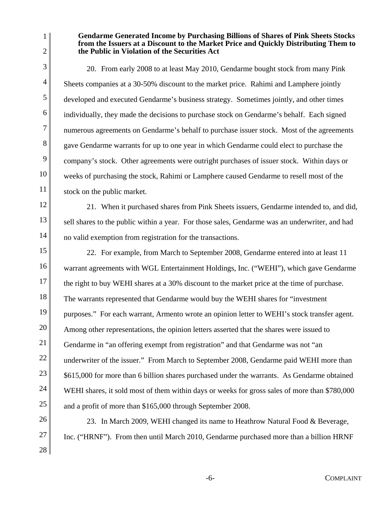1 2

3

4

5

6

7

8

9

10

11

12

13

14

### **Gendarme Generated Income by Purchasing Billions of Shares of Pink Sheets Stocks from the Issuers at a Discount to the Market Price and Quickly Distributing Them to the Public in Violation of the Securities Act**

20. From early 2008 to at least May 2010, Gendarme bought stock from many Pink Sheets companies at a 30-50% discount to the market price. Rahimi and Lamphere jointly developed and executed Gendarme's business strategy. Sometimes jointly, and other times individually, they made the decisions to purchase stock on Gendarme's behalf. Each signed numerous agreements on Gendarme's behalf to purchase issuer stock. Most of the agreements gave Gendarme warrants for up to one year in which Gendarme could elect to purchase the company's stock. Other agreements were outright purchases of issuer stock. Within days or weeks of purchasing the stock, Rahimi or Lamphere caused Gendarme to resell most of the stock on the public market.

21. When it purchased shares from Pink Sheets issuers, Gendarme intended to, and did, sell shares to the public within a year. For those sales, Gendarme was an underwriter, and had no valid exemption from registration for the transactions.

15 16 17 18 19 20 21 22 23 24 25 22. For example, from March to September 2008, Gendarme entered into at least 11 warrant agreements with WGL Entertainment Holdings, Inc. ("WEHI"), which gave Gendarme the right to buy WEHI shares at a 30% discount to the market price at the time of purchase. The warrants represented that Gendarme would buy the WEHI shares for "investment purposes." For each warrant, Armento wrote an opinion letter to WEHI's stock transfer agent. Among other representations, the opinion letters asserted that the shares were issued to Gendarme in "an offering exempt from registration" and that Gendarme was not "an underwriter of the issuer." From March to September 2008, Gendarme paid WEHI more than \$615,000 for more than 6 billion shares purchased under the warrants. As Gendarme obtained WEHI shares, it sold most of them within days or weeks for gross sales of more than \$780,000 and a profit of more than \$165,000 through September 2008.

26 27 28 23. In March 2009, WEHI changed its name to Heathrow Natural Food & Beverage, Inc. ("HRNF"). From then until March 2010, Gendarme purchased more than a billion HRNF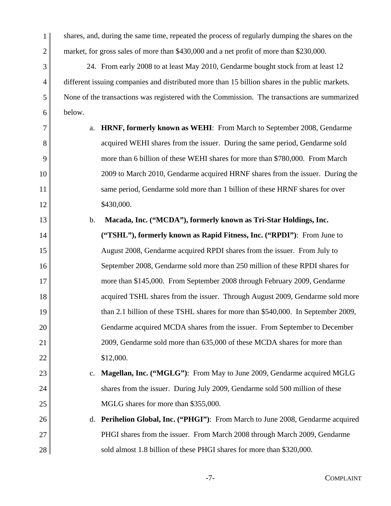shares, and, during the same time, repeated the process of regularly dumping the shares on the market, for gross sales of more than \$430,000 and a net profit of more than \$230,000.

1

2

3

4

5

6

24. From early 2008 to at least May 2010, Gendarme bought stock from at least 12 different issuing companies and distributed more than 15 billion shares in the public markets. None of the transactions was registered with the Commission. The transactions are summarized below.

7 8 9 10 11 12 a. **HRNF, formerly known as WEHI:** From March to September 2008, Gendarme acquired WEHI shares from the issuer. During the same period, Gendarme sold more than 6 billion of these WEHI shares for more than \$780,000. From March 2009 to March 2010, Gendarme acquired HRNF shares from the issuer. During the same period, Gendarme sold more than 1 billion of these HRNF shares for over \$430,000.

13 14 15 16 17 18 19 20 21 22 b. **Macada, Inc. ("MCDA"), formerly known as Tri-Star Holdings, Inc. ("TSHL"), formerly known as Rapid Fitness, Inc. ("RPDI")**: From June to August 2008, Gendarme acquired RPDI shares from the issuer. From July to September 2008, Gendarme sold more than 250 million of these RPDI shares for more than \$145,000. From September 2008 through February 2009, Gendarme acquired TSHL shares from the issuer. Through August 2009, Gendarme sold more than 2.1 billion of these TSHL shares for more than \$540,000. In September 2009, Gendarme acquired MCDA shares from the issuer. From September to December 2009, Gendarme sold more than 635,000 of these MCDA shares for more than \$12,000.

- 23 24 25 c. **Magellan, Inc. ("MGLG")**: From May to June 2009, Gendarme acquired MGLG shares from the issuer. During July 2009, Gendarme sold 500 million of these MGLG shares for more than \$355,000.
- 26 27 28 d. **Perihelion Global, Inc. ("PHGI")**: From March to June 2008, Gendarme acquired PHGI shares from the issuer. From March 2008 through March 2009, Gendarme sold almost 1.8 billion of these PHGI shares for more than \$320,000.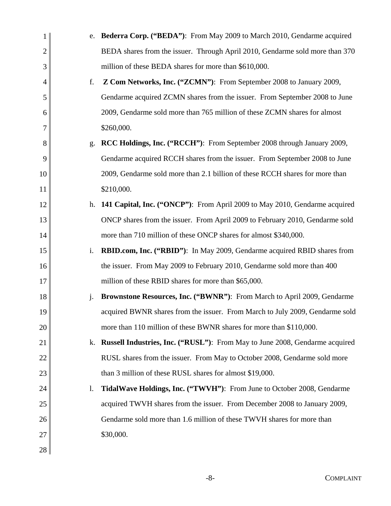| 1              | e. | <b>Bederra Corp. ("BEDA"):</b> From May 2009 to March 2010, Gendarme acquired   |
|----------------|----|---------------------------------------------------------------------------------|
| $\overline{2}$ |    | BEDA shares from the issuer. Through April 2010, Gendarme sold more than 370    |
| 3              |    | million of these BEDA shares for more than \$610,000.                           |
| 4              | f. | Z Com Networks, Inc. ("ZCMN"): From September 2008 to January 2009,             |
| 5              |    | Gendarme acquired ZCMN shares from the issuer. From September 2008 to June      |
| 6              |    | 2009, Gendarme sold more than 765 million of these ZCMN shares for almost       |
| 7              |    | \$260,000.                                                                      |
| 8              | g. | RCC Holdings, Inc. ("RCCH"): From September 2008 through January 2009,          |
| 9              |    | Gendarme acquired RCCH shares from the issuer. From September 2008 to June      |
| 10             |    | 2009, Gendarme sold more than 2.1 billion of these RCCH shares for more than    |
| 11             |    | \$210,000.                                                                      |
| 12             | h. | 141 Capital, Inc. ("ONCP"): From April 2009 to May 2010, Gendarme acquired      |
| 13             |    | ONCP shares from the issuer. From April 2009 to February 2010, Gendarme sold    |
| 14             |    | more than 710 million of these ONCP shares for almost \$340,000.                |
| 15             | i. | <b>RBID.com, Inc.</b> ("RBID"): In May 2009, Gendarme acquired RBID shares from |
| 16             |    | the issuer. From May 2009 to February 2010, Gendarme sold more than 400         |
| 17             |    | million of these RBID shares for more than \$65,000.                            |
| 18             | j. | Brownstone Resources, Inc. ("BWNR"): From March to April 2009, Gendarme         |
| 19             |    | acquired BWNR shares from the issuer. From March to July 2009, Gendarme sold    |
| 20             |    | more than 110 million of these BWNR shares for more than \$110,000.             |
| 21             | k. | Russell Industries, Inc. ("RUSL"): From May to June 2008, Gendarme acquired     |
| 22             |    | RUSL shares from the issuer. From May to October 2008, Gendarme sold more       |
| 23             |    | than 3 million of these RUSL shares for almost \$19,000.                        |
| 24             | 1. | TidalWave Holdings, Inc. ("TWVH"): From June to October 2008, Gendarme          |
| 25             |    | acquired TWVH shares from the issuer. From December 2008 to January 2009,       |
| 26             |    | Gendarme sold more than 1.6 million of these TWVH shares for more than          |
| 27             |    | \$30,000.                                                                       |
| 28             |    |                                                                                 |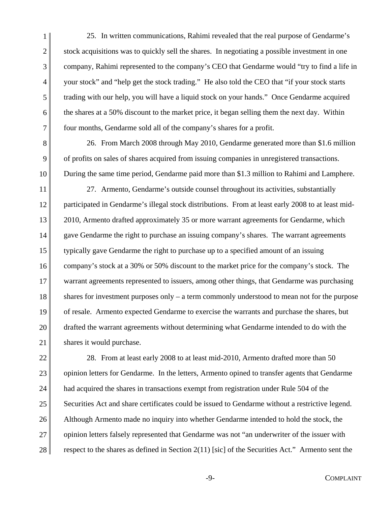1 6 7 25. In written communications, Rahimi revealed that the real purpose of Gendarme's stock acquisitions was to quickly sell the shares. In negotiating a possible investment in one company, Rahimi represented to the company's CEO that Gendarme would "try to find a life in your stock" and "help get the stock trading." He also told the CEO that "if your stock starts trading with our help, you will have a liquid stock on your hands." Once Gendarme acquired the shares at a 50% discount to the market price, it began selling them the next day. Within four months, Gendarme sold all of the company's shares for a profit.

2

3

4

5

9

8 10 26. From March 2008 through May 2010, Gendarme generated more than \$1.6 million of profits on sales of shares acquired from issuing companies in unregistered transactions. During the same time period, Gendarme paid more than \$1.3 million to Rahimi and Lamphere.

11 12 13 14 15 16 17 18 19 20 21 27. Armento, Gendarme's outside counsel throughout its activities, substantially participated in Gendarme's illegal stock distributions. From at least early 2008 to at least mid-2010, Armento drafted approximately 35 or more warrant agreements for Gendarme, which gave Gendarme the right to purchase an issuing company's shares. The warrant agreements typically gave Gendarme the right to purchase up to a specified amount of an issuing company's stock at a 30% or 50% discount to the market price for the company's stock. The warrant agreements represented to issuers, among other things, that Gendarme was purchasing shares for investment purposes only – a term commonly understood to mean not for the purpose of resale. Armento expected Gendarme to exercise the warrants and purchase the shares, but drafted the warrant agreements without determining what Gendarme intended to do with the shares it would purchase.

22 23 24 25 26 27 28 28. From at least early 2008 to at least mid-2010, Armento drafted more than 50 opinion letters for Gendarme. In the letters, Armento opined to transfer agents that Gendarme had acquired the shares in transactions exempt from registration under Rule 504 of the Securities Act and share certificates could be issued to Gendarme without a restrictive legend. Although Armento made no inquiry into whether Gendarme intended to hold the stock, the opinion letters falsely represented that Gendarme was not "an underwriter of the issuer with respect to the shares as defined in Section 2(11) [sic] of the Securities Act." Armento sent the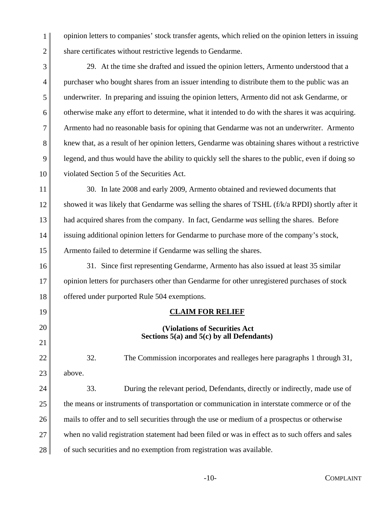opinion letters to companies' stock transfer agents, which relied on the opinion letters in issuing share certificates without restrictive legends to Gendarme.

3 4 5 6 7 8 9 10 29. At the time she drafted and issued the opinion letters, Armento understood that a purchaser who bought shares from an issuer intending to distribute them to the public was an underwriter. In preparing and issuing the opinion letters, Armento did not ask Gendarme, or otherwise make any effort to determine, what it intended to do with the shares it was acquiring. Armento had no reasonable basis for opining that Gendarme was not an underwriter. Armento knew that, as a result of her opinion letters, Gendarme was obtaining shares without a restrictive legend, and thus would have the ability to quickly sell the shares to the public, even if doing so violated Section 5 of the Securities Act.

11 12 13 14 15 30. In late 2008 and early 2009, Armento obtained and reviewed documents that showed it was likely that Gendarme was selling the shares of TSHL (f/k/a RPDI) shortly after it had acquired shares from the company. In fact, Gendarme *was* selling the shares. Before issuing additional opinion letters for Gendarme to purchase more of the company's stock, Armento failed to determine if Gendarme was selling the shares.

16 17 18 31. Since first representing Gendarme, Armento has also issued at least 35 similar opinion letters for purchasers other than Gendarme for other unregistered purchases of stock offered under purported Rule 504 exemptions.

**CLAIM FOR RELIEF**

 **(Violations of Securities Act Sections 5(a) and 5(c) by all Defendants)** 

20 21 22

23

above.

19

1

2

32. The Commission incorporates and realleges here paragraphs 1 through 31,

24 25 26 27 28 33. During the relevant period, Defendants, directly or indirectly, made use of the means or instruments of transportation or communication in interstate commerce or of the mails to offer and to sell securities through the use or medium of a prospectus or otherwise when no valid registration statement had been filed or was in effect as to such offers and sales of such securities and no exemption from registration was available.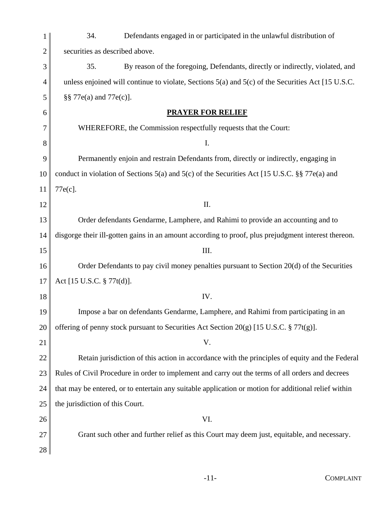|    | 34.<br>Defendants engaged in or participated in the unlawful distribution of                          |  |  |
|----|-------------------------------------------------------------------------------------------------------|--|--|
| 2  | securities as described above.                                                                        |  |  |
| 3  | 35.<br>By reason of the foregoing, Defendants, directly or indirectly, violated, and                  |  |  |
| 4  | unless enjoined will continue to violate, Sections $5(a)$ and $5(c)$ of the Securities Act [15 U.S.C. |  |  |
| 5  | §§ 77e(a) and 77e(c)].                                                                                |  |  |
| 6  | <b>PRAYER FOR RELIEF</b>                                                                              |  |  |
| 7  | WHEREFORE, the Commission respectfully requests that the Court:                                       |  |  |
| 8  | I.                                                                                                    |  |  |
| 9  | Permanently enjoin and restrain Defendants from, directly or indirectly, engaging in                  |  |  |
| 10 | conduct in violation of Sections 5(a) and 5(c) of the Securities Act [15 U.S.C. §§ 77 $e$ (a) and     |  |  |
| 11 | 77e(c].                                                                                               |  |  |
| 12 | Π.                                                                                                    |  |  |
| 13 | Order defendants Gendarme, Lamphere, and Rahimi to provide an accounting and to                       |  |  |
| 14 | disgorge their ill-gotten gains in an amount according to proof, plus prejudgment interest thereon.   |  |  |
| 15 | III.                                                                                                  |  |  |
| 16 | Order Defendants to pay civil money penalties pursuant to Section 20(d) of the Securities             |  |  |
|    |                                                                                                       |  |  |
| 17 | Act [15 U.S.C. § 77t(d)].                                                                             |  |  |
| 18 | IV.                                                                                                   |  |  |
| 19 | Impose a bar on defendants Gendarme, Lamphere, and Rahimi from participating in an                    |  |  |
| 20 | offering of penny stock pursuant to Securities Act Section 20(g) [15 U.S.C. $\S 77t(g)$ ].            |  |  |
| 21 | V.                                                                                                    |  |  |
| 22 | Retain jurisdiction of this action in accordance with the principles of equity and the Federal        |  |  |
| 23 | Rules of Civil Procedure in order to implement and carry out the terms of all orders and decrees      |  |  |
| 24 | that may be entered, or to entertain any suitable application or motion for additional relief within  |  |  |
| 25 | the jurisdiction of this Court.                                                                       |  |  |
| 26 | VI.                                                                                                   |  |  |
| 27 | Grant such other and further relief as this Court may deem just, equitable, and necessary.            |  |  |